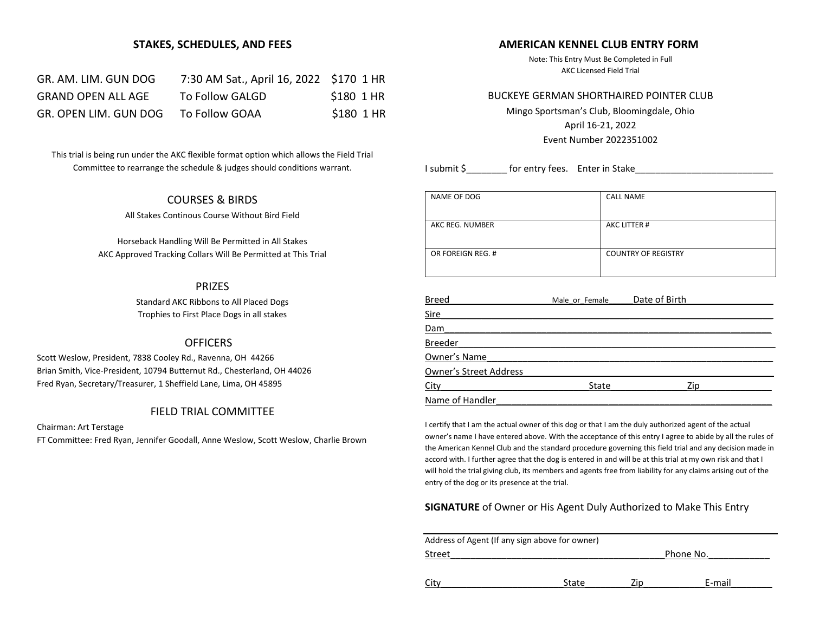### **STAKES, SCHEDULES, AND FEES**

| GR. AM. LIM. GUN DOG      | 7:30 AM Sat., April 16, 2022 \$170 1 HR |            |
|---------------------------|-----------------------------------------|------------|
| <b>GRAND OPEN ALL AGE</b> | To Follow GALGD                         | \$180 1 HR |
| GR. OPEN LIM. GUN DOG     | To Follow GOAA                          | \$180 1 HR |

This trial is being run under the AKC flexible format option which allows the Field Trial Committee to rearrange the schedule & judges should conditions warrant.

# COURSES & BIRDS

All Stakes Continous Course Without Bird Field

Horseback Handling Will Be Permitted in All Stakes AKC Approved Tracking Collars Will Be Permitted at This Trial

# PRIZES

Standard AKC Ribbons to All Placed Dogs Trophies to First Place Dogs in all stakes

# **OFFICERS**

Scott Weslow, President, 7838 Cooley Rd., Ravenna, OH 44266 Brian Smith, Vice-President, 10794 Butternut Rd., Chesterland, OH 44026 Fred Ryan, Secretary/Treasurer, 1 Sheffield Lane, Lima, OH 45895

# FIELD TRIAL COMMITTEE

Chairman: Art Terstage

FT Committee: Fred Ryan, Jennifer Goodall, Anne Weslow, Scott Weslow, Charlie Brown

# **AMERICAN KENNEL CLUB ENTRY FORM**

Note: This Entry Must Be Completed in Full AKC Licensed Field Trial

#### BUCKEYE GERMAN SHORTHAIRED POINTER CLUB

Mingo Sportsman's Club, Bloomingdale, Ohio April 16-21, 2022 Event Number 2022351002

I submit \$ for entry fees. Enter in Stake

| NAME OF DOG       | <b>CALL NAME</b>           |
|-------------------|----------------------------|
| AKC REG. NUMBER   | AKC LITTER #               |
| OR FOREIGN REG. # | <b>COUNTRY OF REGISTRY</b> |
|                   |                            |

| <b>Breed</b>                  | Male or Female | Date of Birth |  |
|-------------------------------|----------------|---------------|--|
| <b>Sire</b>                   |                |               |  |
| Dam                           |                |               |  |
| <b>Breeder</b>                |                |               |  |
| Owner's Name                  |                |               |  |
| <b>Owner's Street Address</b> |                |               |  |
| City                          | State          | Zip           |  |
| Name of Handler               |                |               |  |

I certify that I am the actual owner of this dog or that I am the duly authorized agent of the actual owner's name I have entered above. With the acceptance of this entry I agree to abide by all the rules of the American Kennel Club and the standard procedure governing this field trial and any decision made in accord with. I further agree that the dog is entered in and will be at this trial at my own risk and that I will hold the trial giving club, its members and agents free from liability for any claims arising out of the entry of the dog or its presence at the trial.

# **SIGNATURE** of Owner or His Agent Duly Authorized to Make This Entry

| Address of Agent (If any sign above for owner) |       |     |           |  |  |
|------------------------------------------------|-------|-----|-----------|--|--|
| Street                                         |       |     | Phone No. |  |  |
|                                                |       |     |           |  |  |
| City                                           | State | Zin | E-mail    |  |  |